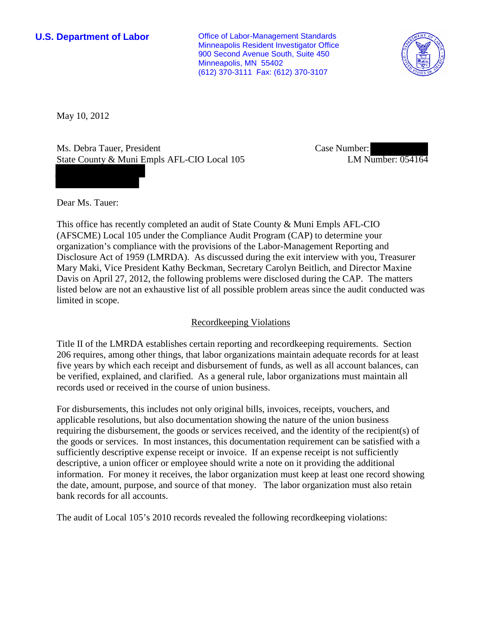**U.S. Department of Labor Conservative Conservative Conservative Conservative Conservative Conservative Conservative Conservative Conservative Conservative Conservative Conservative Conservative Conservative Conservative** Minneapolis Resident Investigator Office 900 Second Avenue South, Suite 450 Minneapolis, MN 55402 (612) 370-3111 Fax: (612) 370-3107



May 10, 2012

Ms. Debra Tauer, President State County & Muni Empls AFL-CIO Local 105 Case Number: LM Number: 054164

Dear Ms. Tauer:

This office has recently completed an audit of State County & Muni Empls AFL-CIO (AFSCME) Local 105 under the Compliance Audit Program (CAP) to determine your organization's compliance with the provisions of the Labor-Management Reporting and Disclosure Act of 1959 (LMRDA). As discussed during the exit interview with you, Treasurer Mary Maki, Vice President Kathy Beckman, Secretary Carolyn Beitlich, and Director Maxine Davis on April 27, 2012, the following problems were disclosed during the CAP. The matters listed below are not an exhaustive list of all possible problem areas since the audit conducted was limited in scope.

# Recordkeeping Violations

Title II of the LMRDA establishes certain reporting and recordkeeping requirements. Section 206 requires, among other things, that labor organizations maintain adequate records for at least five years by which each receipt and disbursement of funds, as well as all account balances, can be verified, explained, and clarified. As a general rule, labor organizations must maintain all records used or received in the course of union business.

For disbursements, this includes not only original bills, invoices, receipts, vouchers, and applicable resolutions, but also documentation showing the nature of the union business requiring the disbursement, the goods or services received, and the identity of the recipient(s) of the goods or services. In most instances, this documentation requirement can be satisfied with a sufficiently descriptive expense receipt or invoice. If an expense receipt is not sufficiently descriptive, a union officer or employee should write a note on it providing the additional information. For money it receives, the labor organization must keep at least one record showing the date, amount, purpose, and source of that money. The labor organization must also retain bank records for all accounts.

The audit of Local 105's 2010 records revealed the following recordkeeping violations: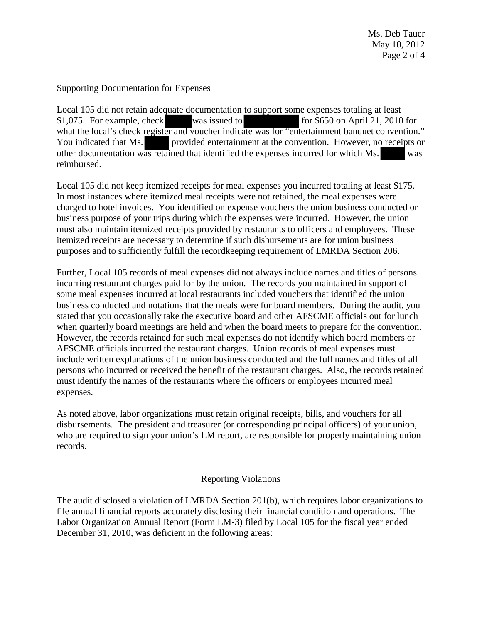Supporting Documentation for Expenses

Local 105 did not retain adequate documentation to support some expenses totaling at least \$1,075. For example, check was issued to for \$650 on April 21, 2010 for what the local's check register and voucher indicate was for "entertainment banquet convention." You indicated that Ms. provided entertainment at the convention. However, no receipts or other documentation was retained that identified the expenses incurred for which Ms. was reimbursed.

Local 105 did not keep itemized receipts for meal expenses you incurred totaling at least \$175. In most instances where itemized meal receipts were not retained, the meal expenses were charged to hotel invoices. You identified on expense vouchers the union business conducted or business purpose of your trips during which the expenses were incurred. However, the union must also maintain itemized receipts provided by restaurants to officers and employees. These itemized receipts are necessary to determine if such disbursements are for union business purposes and to sufficiently fulfill the recordkeeping requirement of LMRDA Section 206.

Further, Local 105 records of meal expenses did not always include names and titles of persons incurring restaurant charges paid for by the union. The records you maintained in support of some meal expenses incurred at local restaurants included vouchers that identified the union business conducted and notations that the meals were for board members. During the audit, you stated that you occasionally take the executive board and other AFSCME officials out for lunch when quarterly board meetings are held and when the board meets to prepare for the convention. However, the records retained for such meal expenses do not identify which board members or AFSCME officials incurred the restaurant charges. Union records of meal expenses must include written explanations of the union business conducted and the full names and titles of all persons who incurred or received the benefit of the restaurant charges. Also, the records retained must identify the names of the restaurants where the officers or employees incurred meal expenses.

As noted above, labor organizations must retain original receipts, bills, and vouchers for all disbursements. The president and treasurer (or corresponding principal officers) of your union, who are required to sign your union's LM report, are responsible for properly maintaining union records.

# Reporting Violations

The audit disclosed a violation of LMRDA Section 201(b), which requires labor organizations to file annual financial reports accurately disclosing their financial condition and operations. The Labor Organization Annual Report (Form LM-3) filed by Local 105 for the fiscal year ended December 31, 2010, was deficient in the following areas: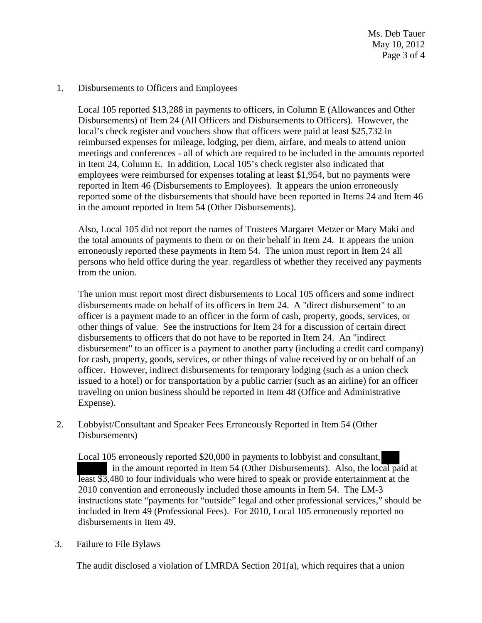Ms. Deb Tauer May 10, 2012 Page 3 of 4

#### 1. Disbursements to Officers and Employees

Local 105 reported \$13,288 in payments to officers, in Column E (Allowances and Other Disbursements) of Item 24 (All Officers and Disbursements to Officers). However, the local's check register and vouchers show that officers were paid at least \$25,732 in reimbursed expenses for mileage, lodging, per diem, airfare, and meals to attend union meetings and conferences - all of which are required to be included in the amounts reported in Item 24, Column E. In addition, Local 105's check register also indicated that employees were reimbursed for expenses totaling at least \$1,954, but no payments were reported in Item 46 (Disbursements to Employees). It appears the union erroneously reported some of the disbursements that should have been reported in Items 24 and Item 46 in the amount reported in Item 54 (Other Disbursements).

Also, Local 105 did not report the names of Trustees Margaret Metzer or Mary Maki and the total amounts of payments to them or on their behalf in Item 24. It appears the union erroneously reported these payments in Item 54. The union must report in Item 24 all persons who held office during the year, regardless of whether they received any payments from the union.

The union must report most direct disbursements to Local 105 officers and some indirect disbursements made on behalf of its officers in Item 24. A "direct disbursement" to an officer is a payment made to an officer in the form of cash, property, goods, services, or other things of value. See the instructions for Item 24 for a discussion of certain direct disbursements to officers that do not have to be reported in Item 24. An "indirect disbursement" to an officer is a payment to another party (including a credit card company) for cash, property, goods, services, or other things of value received by or on behalf of an officer. However, indirect disbursements for temporary lodging (such as a union check issued to a hotel) or for transportation by a public carrier (such as an airline) for an officer traveling on union business should be reported in Item 48 (Office and Administrative Expense).

2. Lobbyist/Consultant and Speaker Fees Erroneously Reported in Item 54 (Other Disbursements)

Local 105 erroneously reported \$20,000 in payments to lobbyist and consultant, in the amount reported in Item 54 (Other Disbursements). Also, the local paid at least \$3,480 to four individuals who were hired to speak or provide entertainment at the 2010 convention and erroneously included those amounts in Item 54. The LM-3 instructions state "payments for "outside" legal and other professional services," should be included in Item 49 (Professional Fees). For 2010, Local 105 erroneously reported no disbursements in Item 49.

### 3. Failure to File Bylaws

The audit disclosed a violation of LMRDA Section 201(a), which requires that a union